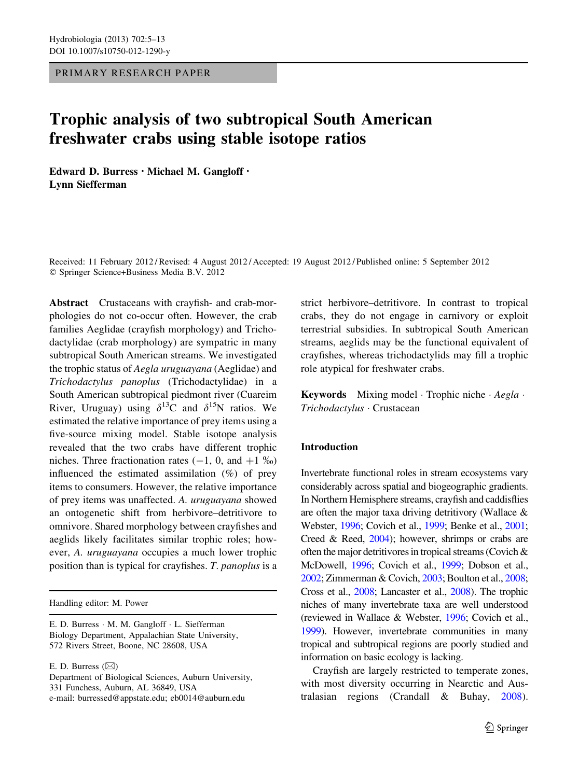PRIMARY RESEARCH PAPER

# Trophic analysis of two subtropical South American freshwater crabs using stable isotope ratios

Edward D. Burress • Michael M. Gangloff • Lynn Siefferman

Received: 11 February 2012 / Revised: 4 August 2012 / Accepted: 19 August 2012 / Published online: 5 September 2012 © Springer Science+Business Media B.V. 2012

Abstract Crustaceans with crayfish- and crab-morphologies do not co-occur often. However, the crab families Aeglidae (crayfish morphology) and Trichodactylidae (crab morphology) are sympatric in many subtropical South American streams. We investigated the trophic status of Aegla uruguayana (Aeglidae) and Trichodactylus panoplus (Trichodactylidae) in a South American subtropical piedmont river (Cuareim River, Uruguay) using  $\delta^{13}C$  and  $\delta^{15}N$  ratios. We estimated the relative importance of prey items using a five-source mixing model. Stable isotope analysis revealed that the two crabs have different trophic niches. Three fractionation rates  $(-1, 0, \text{ and } +1 \, \%)$ influenced the estimated assimilation (%) of prey items to consumers. However, the relative importance of prey items was unaffected. A. uruguayana showed an ontogenetic shift from herbivore–detritivore to omnivore. Shared morphology between crayfishes and aeglids likely facilitates similar trophic roles; however, A. uruguayana occupies a much lower trophic position than is typical for crayfishes. T. panoplus is a

Handling editor: M. Power

E. D. Burress  $(\boxtimes)$ 

strict herbivore–detritivore. In contrast to tropical crabs, they do not engage in carnivory or exploit terrestrial subsidies. In subtropical South American streams, aeglids may be the functional equivalent of crayfishes, whereas trichodactylids may fill a trophic role atypical for freshwater crabs.

**Keywords** Mixing model Trophic niche  $\cdot$  *Aegla*  $\cdot$ Trichodactylus - Crustacean

## Introduction

Invertebrate functional roles in stream ecosystems vary considerably across spatial and biogeographic gradients. In Northern Hemisphere streams, crayfish and caddisflies are often the major taxa driving detritivory (Wallace & Webster, [1996](#page-8-0); Covich et al., [1999;](#page-7-0) Benke et al., [2001](#page-7-0); Creed & Reed, [2004\)](#page-7-0); however, shrimps or crabs are often the major detritivores in tropical streams (Covich & McDowell, [1996;](#page-7-0) Covich et al., [1999;](#page-7-0) Dobson et al., [2002](#page-7-0); Zimmerman & Covich, [2003;](#page-8-0) Boulton et al., [2008](#page-7-0); Cross et al., [2008;](#page-7-0) Lancaster et al., [2008\)](#page-8-0). The trophic niches of many invertebrate taxa are well understood (reviewed in Wallace & Webster, [1996;](#page-8-0) Covich et al., [1999](#page-7-0)). However, invertebrate communities in many tropical and subtropical regions are poorly studied and information on basic ecology is lacking.

Crayfish are largely restricted to temperate zones, with most diversity occurring in Nearctic and Australasian regions (Crandall & Buhay, [2008](#page-7-0)).

E. D. Burress - M. M. Gangloff - L. Siefferman Biology Department, Appalachian State University, 572 Rivers Street, Boone, NC 28608, USA

Department of Biological Sciences, Auburn University, 331 Funchess, Auburn, AL 36849, USA e-mail: burressed@appstate.edu; eb0014@auburn.edu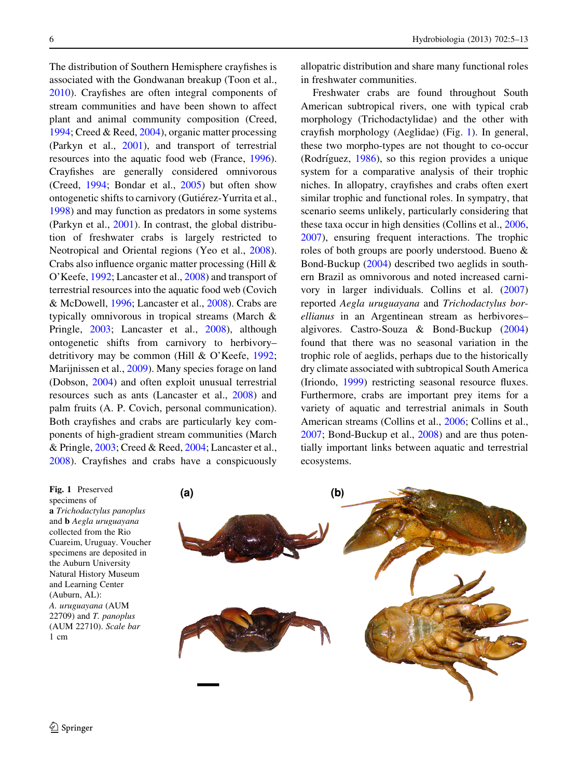The distribution of Southern Hemisphere crayfishes is associated with the Gondwanan breakup (Toon et al., [2010\)](#page-8-0). Crayfishes are often integral components of stream communities and have been shown to affect plant and animal community composition (Creed, [1994;](#page-7-0) Creed & Reed, [2004](#page-7-0)), organic matter processing (Parkyn et al., [2001\)](#page-8-0), and transport of terrestrial resources into the aquatic food web (France, [1996](#page-7-0)). Crayfishes are generally considered omnivorous (Creed, [1994](#page-7-0); Bondar et al., [2005\)](#page-7-0) but often show ontogenetic shifts to carnivory (Gutiérez-Yurrita et al., [1998\)](#page-8-0) and may function as predators in some systems (Parkyn et al., [2001](#page-8-0)). In contrast, the global distribution of freshwater crabs is largely restricted to Neotropical and Oriental regions (Yeo et al., [2008](#page-8-0)). Crabs also influence organic matter processing (Hill & O'Keefe, [1992;](#page-8-0) Lancaster et al., [2008\)](#page-8-0) and transport of terrestrial resources into the aquatic food web (Covich & McDowell, [1996;](#page-7-0) Lancaster et al., [2008\)](#page-8-0). Crabs are typically omnivorous in tropical streams (March & Pringle, [2003](#page-8-0); Lancaster et al., [2008](#page-8-0)), although ontogenetic shifts from carnivory to herbivory– detritivory may be common (Hill & O'Keefe, [1992](#page-8-0); Marijnissen et al., [2009](#page-8-0)). Many species forage on land (Dobson, [2004](#page-7-0)) and often exploit unusual terrestrial resources such as ants (Lancaster et al., [2008\)](#page-8-0) and palm fruits (A. P. Covich, personal communication). Both crayfishes and crabs are particularly key components of high-gradient stream communities (March & Pringle,  $2003$ ; Creed & Reed,  $2004$ ; Lancaster et al., [2008\)](#page-8-0). Crayfishes and crabs have a conspicuously

allopatric distribution and share many functional roles in freshwater communities.

Freshwater crabs are found throughout South American subtropical rivers, one with typical crab morphology (Trichodactylidae) and the other with crayfish morphology (Aeglidae) (Fig. 1). In general, these two morpho-types are not thought to co-occur (Rodríguez,  $1986$ ), so this region provides a unique system for a comparative analysis of their trophic niches. In allopatry, crayfishes and crabs often exert similar trophic and functional roles. In sympatry, that scenario seems unlikely, particularly considering that these taxa occur in high densities (Collins et al., [2006,](#page-7-0) [2007\)](#page-7-0), ensuring frequent interactions. The trophic roles of both groups are poorly understood. Bueno & Bond-Buckup [\(2004](#page-7-0)) described two aeglids in southern Brazil as omnivorous and noted increased carnivory in larger individuals. Collins et al. ([2007\)](#page-7-0) reported Aegla uruguayana and Trichodactylus borellianus in an Argentinean stream as herbivores– algivores. Castro-Souza & Bond-Buckup ([2004\)](#page-7-0) found that there was no seasonal variation in the trophic role of aeglids, perhaps due to the historically dry climate associated with subtropical South America (Iriondo, [1999\)](#page-8-0) restricting seasonal resource fluxes. Furthermore, crabs are important prey items for a variety of aquatic and terrestrial animals in South American streams (Collins et al., [2006;](#page-7-0) Collins et al., [2007;](#page-7-0) Bond-Buckup et al., [2008\)](#page-7-0) and are thus potentially important links between aquatic and terrestrial ecosystems.

Fig. 1 Preserved specimens of a Trichodactylus panoplus and b Aegla uruguayana collected from the Rio Cuareim, Uruguay. Voucher specimens are deposited in the Auburn University Natural History Museum and Learning Center (Auburn, AL): A. uruguayana (AUM 22709) and T. panoplus (AUM 22710). Scale bar 1 cm

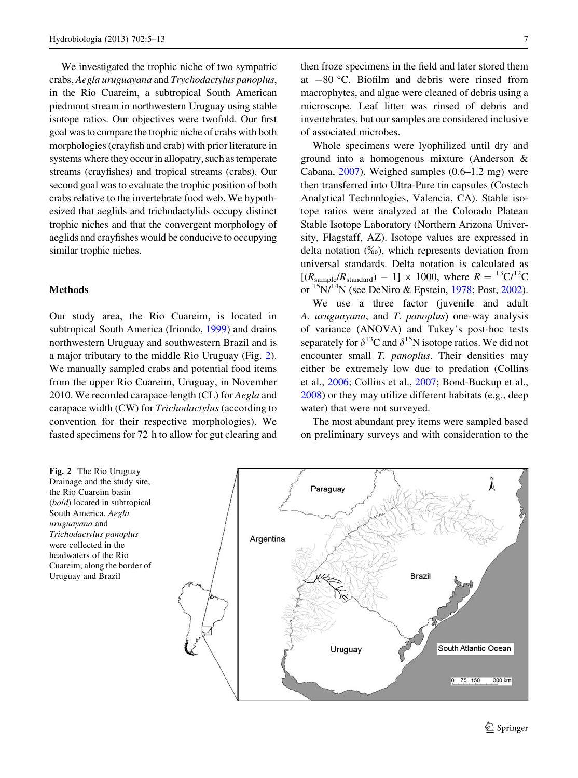We investigated the trophic niche of two sympatric crabs, Aegla uruguayana and Trychodactylus panoplus, in the Rio Cuareim, a subtropical South American piedmont stream in northwestern Uruguay using stable isotope ratios. Our objectives were twofold. Our first goal was to compare the trophic niche of crabs with both morphologies (crayfish and crab) with prior literature in systems where they occur in allopatry, such as temperate streams (crayfishes) and tropical streams (crabs). Our second goal was to evaluate the trophic position of both crabs relative to the invertebrate food web. We hypothesized that aeglids and trichodactylids occupy distinct trophic niches and that the convergent morphology of aeglids and crayfishes would be conducive to occupying similar trophic niches.

#### Methods

Our study area, the Rio Cuareim, is located in subtropical South America (Iriondo, [1999\)](#page-8-0) and drains northwestern Uruguay and southwestern Brazil and is a major tributary to the middle Rio Uruguay (Fig. 2). We manually sampled crabs and potential food items from the upper Rio Cuareim, Uruguay, in November 2010. We recorded carapace length (CL) for Aegla and carapace width (CW) for Trichodactylus (according to convention for their respective morphologies). We fasted specimens for 72 h to allow for gut clearing and

then froze specimens in the field and later stored them at  $-80$  °C. Biofilm and debris were rinsed from macrophytes, and algae were cleaned of debris using a microscope. Leaf litter was rinsed of debris and invertebrates, but our samples are considered inclusive of associated microbes.

Whole specimens were lyophilized until dry and ground into a homogenous mixture (Anderson & Cabana, [2007\)](#page-7-0). Weighed samples (0.6–1.2 mg) were then transferred into Ultra-Pure tin capsules (Costech Analytical Technologies, Valencia, CA). Stable isotope ratios were analyzed at the Colorado Plateau Stable Isotope Laboratory (Northern Arizona University, Flagstaff, AZ). Isotope values are expressed in delta notation  $(\%_0)$ , which represents deviation from universal standards. Delta notation is calculated as  $[(R_{\text{sample}}/R_{\text{standard}}) - 1] \times 1000$ , where  $R = {}^{13}C/{}^{12}C$ or  $15N/14N$  (see DeNiro & Epstein, [1978;](#page-7-0) Post, [2002](#page-8-0)).

We use a three factor (juvenile and adult A. uruguayana, and T. panoplus) one-way analysis of variance (ANOVA) and Tukey's post-hoc tests separately for  $\delta^{13}C$  and  $\delta^{15}N$  isotope ratios. We did not encounter small T. panoplus. Their densities may either be extremely low due to predation (Collins et al., [2006](#page-7-0); Collins et al., [2007](#page-7-0); Bond-Buckup et al., [2008\)](#page-7-0) or they may utilize different habitats (e.g., deep water) that were not surveyed.

The most abundant prey items were sampled based on preliminary surveys and with consideration to the

Fig. 2 The Rio Uruguay Drainage and the study site, the Rio Cuareim basin (bold) located in subtropical South America. Aegla uruguayana and Trichodactylus panoplus were collected in the headwaters of the Rio Cuareim, along the border of Uruguay and Brazil

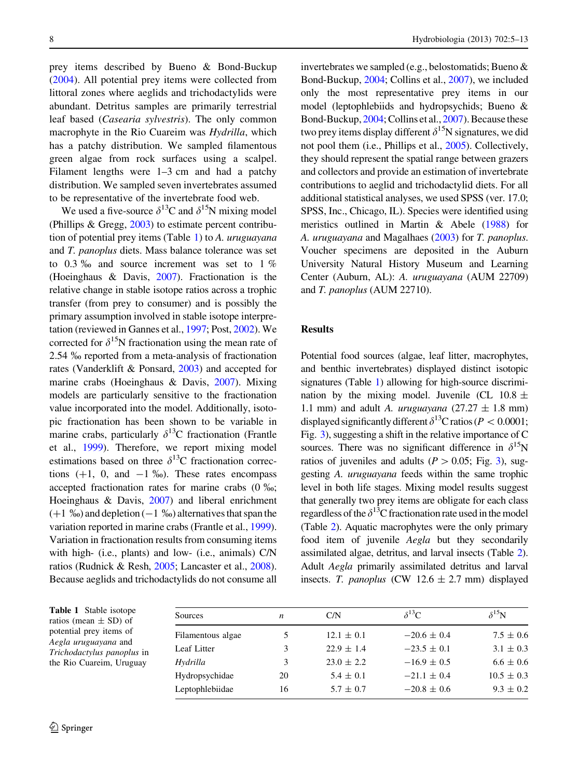prey items described by Bueno & Bond-Buckup [\(2004](#page-7-0)). All potential prey items were collected from littoral zones where aeglids and trichodactylids were abundant. Detritus samples are primarily terrestrial leaf based (Casearia sylvestris). The only common macrophyte in the Rio Cuareim was Hydrilla, which has a patchy distribution. We sampled filamentous green algae from rock surfaces using a scalpel. Filament lengths were 1–3 cm and had a patchy distribution. We sampled seven invertebrates assumed to be representative of the invertebrate food web.

We used a five-source  $\delta^{13}$ C and  $\delta^{15}$ N mixing model (Phillips & Gregg, [2003](#page-8-0)) to estimate percent contribution of potential prey items (Table 1) to A. uruguayana and T. panoplus diets. Mass balance tolerance was set to 0.3  $\%$  and source increment was set to 1  $\%$ (Hoeinghaus & Davis, [2007\)](#page-8-0). Fractionation is the relative change in stable isotope ratios across a trophic transfer (from prey to consumer) and is possibly the primary assumption involved in stable isotope interpretation (reviewed in Gannes et al., [1997](#page-7-0); Post, [2002\)](#page-8-0). We corrected for  $\delta^{15}N$  fractionation using the mean rate of 2.54 ‰ reported from a meta-analysis of fractionation rates (Vanderklift & Ponsard, [2003\)](#page-8-0) and accepted for marine crabs (Hoeinghaus & Davis, [2007\)](#page-8-0). Mixing models are particularly sensitive to the fractionation value incorporated into the model. Additionally, isotopic fractionation has been shown to be variable in marine crabs, particularly  $\delta^{13}$ C fractionation (Frantle et al., [1999\)](#page-7-0). Therefore, we report mixing model estimations based on three  $\delta^{13}$ C fractionation corrections  $(+1, 0, \text{ and } -1 \text{ %})$ . These rates encompass accepted fractionation rates for marine crabs  $(0 \, \frac{\omega}{\omega})$ ; Hoeinghaus & Davis, [2007\)](#page-8-0) and liberal enrichment  $(+1 \%)$  and depletion  $(-1 \%)$  alternatives that span the variation reported in marine crabs (Frantle et al., [1999](#page-7-0)). Variation in fractionation results from consuming items with high- (i.e., plants) and low- (i.e., animals) C/N ratios (Rudnick & Resh, [2005;](#page-8-0) Lancaster et al., [2008](#page-8-0)). Because aeglids and trichodactylids do not consume all invertebrates we sampled (e.g., belostomatids; Bueno & Bond-Buckup, [2004](#page-7-0); Collins et al., [2007](#page-7-0)), we included only the most representative prey items in our model (leptophlebiids and hydropsychids; Bueno & Bond-Buckup, [2004](#page-7-0); Collins et al., [2007\)](#page-7-0). Because these two prey items display different  $\delta^{15}N$  signatures, we did not pool them (i.e., Phillips et al., [2005](#page-8-0)). Collectively, they should represent the spatial range between grazers and collectors and provide an estimation of invertebrate contributions to aeglid and trichodactylid diets. For all additional statistical analyses, we used SPSS (ver. 17.0; SPSS, Inc., Chicago, IL). Species were identified using meristics outlined in Martin & Abele ([1988](#page-8-0)) for A. uruguayana and Magalhaes ([2003](#page-8-0)) for T. panoplus. Voucher specimens are deposited in the Auburn University Natural History Museum and Learning Center (Auburn, AL): A. uruguayana (AUM 22709) and T. panoplus (AUM 22710).

### Results

Potential food sources (algae, leaf litter, macrophytes, and benthic invertebrates) displayed distinct isotopic signatures (Table 1) allowing for high-source discrimination by the mixing model. Juvenile (CL 10.8  $\pm$ 1.1 mm) and adult A. *uruguayana*  $(27.27 \pm 1.8 \text{ mm})$ displayed significantly different  $\delta^{13}$ C ratios (P < 0.0001; Fig. [3](#page-4-0)), suggesting a shift in the relative importance of C sources. There was no significant difference in  $\delta^{15}N$ ratios of juveniles and adults ( $P > 0.05$ ; Fig. [3](#page-4-0)), suggesting A. uruguayana feeds within the same trophic level in both life stages. Mixing model results suggest that generally two prey items are obligate for each class regardless of the  $\delta^{13}$ C fractionation rate used in the model (Table [2](#page-5-0)). Aquatic macrophytes were the only primary food item of juvenile Aegla but they secondarily assimilated algae, detritus, and larval insects (Table [2\)](#page-5-0). Adult Aegla primarily assimilated detritus and larval insects. T. panoplus (CW 12.6  $\pm$  2.7 mm) displayed

| <b>Table 1</b> Stable isotope<br>ratios (mean $\pm$ SD) of<br>potential prey items of<br>Aegla uruguayana and<br><i>Trichodactylus panoplus</i> in<br>the Rio Cuareim, Uruguay | <b>Sources</b>    | n  | C/N            | $\delta^{13}C$  | $\delta^{15}N$ |
|--------------------------------------------------------------------------------------------------------------------------------------------------------------------------------|-------------------|----|----------------|-----------------|----------------|
|                                                                                                                                                                                | Filamentous algae | 5  | $12.1 \pm 0.1$ | $-20.6 \pm 0.4$ | $7.5 \pm 0.6$  |
|                                                                                                                                                                                | Leaf Litter       | 3  | $22.9 \pm 1.4$ | $-23.5 \pm 0.1$ | $3.1 \pm 0.3$  |
|                                                                                                                                                                                | Hydrilla          | 3  | $23.0 \pm 2.2$ | $-16.9 \pm 0.5$ | $6.6 \pm 0.6$  |
|                                                                                                                                                                                | Hydropsychidae    | 20 | $5.4 \pm 0.1$  | $-21.1 \pm 0.4$ | $10.5 \pm 0.3$ |
|                                                                                                                                                                                | Leptophlebiidae   | 16 | $5.7 \pm 0.7$  | $-20.8 \pm 0.6$ | $9.3 \pm 0.2$  |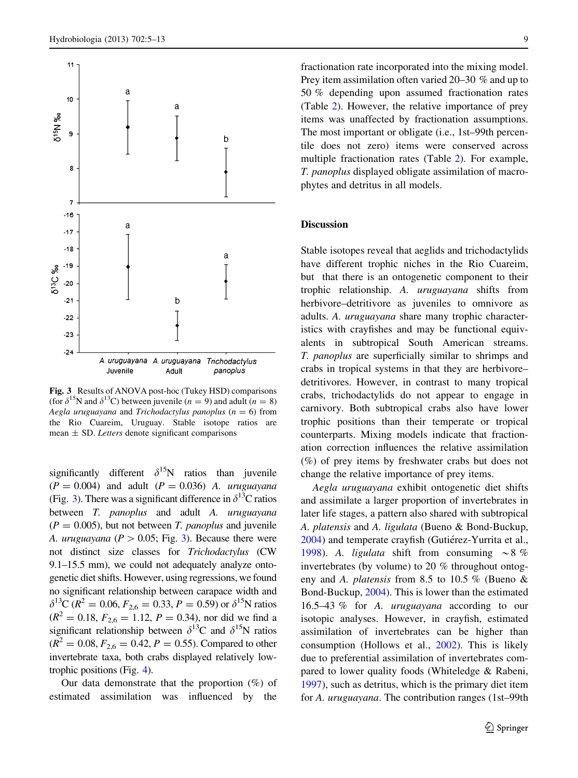<span id="page-4-0"></span>

Fig. 3 Results of ANOVA post-hoc (Tukey HSD) comparisons (for  $\delta^{15}N$  and  $\delta^{13}C$ ) between juvenile (*n* = 9) and adult (*n* = 8) Aegla uruguayana and Trichodactylus panoplus ( $n = 6$ ) from the Rio Cuareim, Uruguay. Stable isotope ratios are mean  $\pm$  SD. Letters denote significant comparisons

significantly different  $\delta^{15}N$  ratios than juvenile  $(P = 0.004)$  and adult  $(P = 0.036)$  A. uruguayana (Fig. 3). There was a significant difference in  $\delta^{13}$ C ratios between *T. panoplus* and adult *A. uruguayana*  $(P = 0.005)$ , but not between *T. panoplus* and juvenile A. *uruguayana* ( $P > 0.05$ ; Fig. 3). Because there were not distinct size classes for Trichodactylus (CW 9.1–15.5 mm), we could not adequately analyze ontogenetic diet shifts. However, using regressions, we found no significant relationship between carapace width and  $\delta^{13}C$  ( $R^2 = 0.06$ ,  $F_{2,6} = 0.33$ ,  $P = 0.59$ ) or  $\delta^{15}N$  ratios  $(R^{2} = 0.18, F_{2,6} = 1.12, P = 0.34)$ , nor did we find a significant relationship between  $\delta^{13}$ C and  $\delta^{15}$ N ratios  $(R^{2} = 0.08, F_{2.6} = 0.42, P = 0.55)$ . Compared to other invertebrate taxa, both crabs displayed relatively lowtrophic positions (Fig. [4\)](#page-5-0).

Our data demonstrate that the proportion  $(\%)$  of estimated assimilation was influenced by the fractionation rate incorporated into the mixing model. Prey item assimilation often varied 20–30 % and up to 50 % depending upon assumed fractionation rates (Table [2](#page-5-0)). However, the relative importance of prey items was unaffected by fractionation assumptions. The most important or obligate (i.e., 1st–99th percentile does not zero) items were conserved across multiple fractionation rates (Table [2\)](#page-5-0). For example, T. panoplus displayed obligate assimilation of macrophytes and detritus in all models.

#### Discussion

Stable isotopes reveal that aeglids and trichodactylids have different trophic niches in the Rio Cuareim, but that there is an ontogenetic component to their trophic relationship. A. uruguayana shifts from herbivore–detritivore as juveniles to omnivore as adults. A. uruguayana share many trophic characteristics with crayfishes and may be functional equivalents in subtropical South American streams. T. panoplus are superficially similar to shrimps and crabs in tropical systems in that they are herbivore– detritivores. However, in contrast to many tropical crabs, trichodactylids do not appear to engage in carnivory. Both subtropical crabs also have lower trophic positions than their temperate or tropical counterparts. Mixing models indicate that fractionation correction influences the relative assimilation (%) of prey items by freshwater crabs but does not change the relative importance of prey items.

Aegla uruguayana exhibit ontogenetic diet shifts and assimilate a larger proportion of invertebrates in later life stages, a pattern also shared with subtropical A. platensis and A. ligulata (Bueno & Bond-Buckup, [2004\)](#page-7-0) and temperate crayfish (Gutiérez-Yurrita et al., [1998\)](#page-8-0). A. ligulata shift from consuming  $\sim 8 \%$ invertebrates (by volume) to 20 % throughout ontogeny and A. platensis from 8.5 to 10.5 % (Bueno & Bond-Buckup, [2004\)](#page-7-0). This is lower than the estimated 16.5–43 % for A. uruguayana according to our isotopic analyses. However, in crayfish, estimated assimilation of invertebrates can be higher than consumption (Hollows et al., [2002\)](#page-8-0). This is likely due to preferential assimilation of invertebrates compared to lower quality foods (Whiteledge & Rabeni, [1997\)](#page-8-0), such as detritus, which is the primary diet item for A. uruguayana. The contribution ranges (1st–99th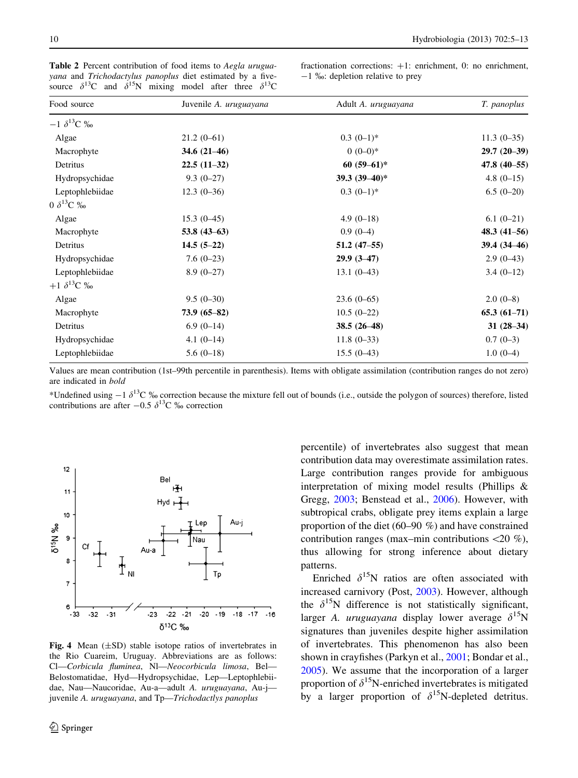| Food source          | Juvenile A. uruguayana | Adult A. uruguayana | T. panoplus     |
|----------------------|------------------------|---------------------|-----------------|
| $-1 \delta^{13}C$ ‰  |                        |                     |                 |
| Algae                | $21.2(0-61)$           | $0.3(0-1)*$         | $11.3(0-35)$    |
| Macrophyte           | $34.6(21-46)$          | $0(0-0)*$           | $29.7(20-39)$   |
| Detritus             | $22.5(11-32)$          | $60(59-61)*$        | $47.8(40-55)$   |
| Hydropsychidae       | $9.3(0-27)$            | 39.3 $(39-40)*$     | $4.8(0-15)$     |
| Leptophlebiidae      | $12.3(0-36)$           | $0.3(0-1)*$         | $6.5(0-20)$     |
| 0 $\delta^{13}C$ ‰   |                        |                     |                 |
| Algae                | $15.3(0-45)$           | $4.9(0-18)$         | $6.1(0-21)$     |
| Macrophyte           | 53.8 $(43-63)$         | $0.9(0-4)$          | $48.3(41 - 56)$ |
| Detritus             | $14.5(5-22)$           | $51.2(47-55)$       | 39.4 (34-46)    |
| Hydropsychidae       | $7.6(0-23)$            | $29.9(3-47)$        | $2.9(0-43)$     |
| Leptophlebiidae      | $8.9(0-27)$            | $13.1(0-43)$        | $3.4(0-12)$     |
| $+1 \delta^{13}C \%$ |                        |                     |                 |
| Algae                | $9.5(0-30)$            | $23.6(0-65)$        | $2.0(0-8)$      |
| Macrophyte           | $73.9(65 - 82)$        | $10.5(0-22)$        | $65.3(61-71)$   |
| Detritus             | $6.9(0-14)$            | $38.5(26-48)$       | $31(28-34)$     |
| Hydropsychidae       | $4.1(0-14)$            | $11.8(0-33)$        | $0.7(0-3)$      |
| Leptophlebiidae      | $5.6(0-18)$            | $15.5(0-43)$        | $1.0(0-4)$      |

<span id="page-5-0"></span>Table 2 Percent contribution of food items to Aegla uruguayana and Trichodactylus panoplus diet estimated by a fivesource  $\delta^{13}$ C and  $\delta^{15}$ N mixing model after three  $\delta^{13}$ C

fractionation corrections:  $+1$ : enrichment, 0: no enrichment,  $-1$  ‰: depletion relative to prey

Values are mean contribution (1st–99th percentile in parenthesis). Items with obligate assimilation (contribution ranges do not zero) are indicated in bold

\*Undefined using  $-1 \delta^{13}C$  ‰ correction because the mixture fell out of bounds (i.e., outside the polygon of sources) therefore, listed contributions are after  $-0.5 \delta^{13}C$  ‰ correction



Fig. 4 Mean  $(\pm SD)$  stable isotope ratios of invertebrates in the Rio Cuareim, Uruguay. Abbreviations are as follows: Cl—Corbicula fluminea, Nl—Neocorbicula limosa, Bel— Belostomatidae, Hyd—Hydropsychidae, Lep—Leptophlebiidae, Nau—Naucoridae, Au-a—adult A. uruguayana, Au-j juvenile A. uruguayana, and Tp-Trichodactlys panoplus

percentile) of invertebrates also suggest that mean contribution data may overestimate assimilation rates. Large contribution ranges provide for ambiguous interpretation of mixing model results (Phillips & Gregg, [2003](#page-8-0); Benstead et al., [2006](#page-7-0)). However, with subtropical crabs, obligate prey items explain a large proportion of the diet (60–90 %) and have constrained contribution ranges (max–min contributions  $\langle 20 \, % \rangle$ ), thus allowing for strong inference about dietary patterns.

Enriched  $\delta^{15}N$  ratios are often associated with increased carnivory (Post, [2003\)](#page-8-0). However, although the  $\delta^{15}N$  difference is not statistically significant, larger A. *uruguayana* display lower average  $\delta^{15}$ N signatures than juveniles despite higher assimilation of invertebrates. This phenomenon has also been shown in crayfishes (Parkyn et al., [2001](#page-8-0); Bondar et al., [2005\)](#page-7-0). We assume that the incorporation of a larger proportion of  $\delta^{15}N$ -enriched invertebrates is mitigated by a larger proportion of  $\delta^{15}$ N-depleted detritus.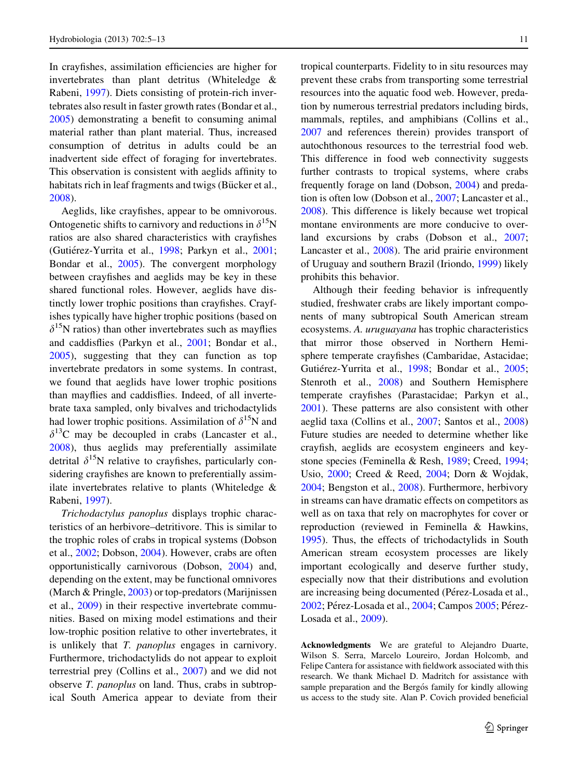In crayfishes, assimilation efficiencies are higher for invertebrates than plant detritus (Whiteledge & Rabeni, [1997\)](#page-8-0). Diets consisting of protein-rich invertebrates also result in faster growth rates (Bondar et al., [2005\)](#page-7-0) demonstrating a benefit to consuming animal material rather than plant material. Thus, increased consumption of detritus in adults could be an inadvertent side effect of foraging for invertebrates. This observation is consistent with aeglids affinity to habitats rich in leaf fragments and twigs (Bücker et al., [2008\)](#page-7-0).

Aeglids, like crayfishes, appear to be omnivorous. Ontogenetic shifts to carnivory and reductions in  $\delta^{15}N$ ratios are also shared characteristics with crayfishes (Gutiérez-Yurrita et al., [1998](#page-8-0); Parkyn et al., [2001](#page-8-0); Bondar et al., [2005\)](#page-7-0). The convergent morphology between crayfishes and aeglids may be key in these shared functional roles. However, aeglids have distinctly lower trophic positions than crayfishes. Crayfishes typically have higher trophic positions (based on  $\delta^{15}$ N ratios) than other invertebrates such as mayflies and caddisflies (Parkyn et al., [2001;](#page-8-0) Bondar et al., [2005\)](#page-7-0), suggesting that they can function as top invertebrate predators in some systems. In contrast, we found that aeglids have lower trophic positions than mayflies and caddisflies. Indeed, of all invertebrate taxa sampled, only bivalves and trichodactylids had lower trophic positions. Assimilation of  $\delta^{15}N$  and  $\delta^{13}$ C may be decoupled in crabs (Lancaster et al., [2008\)](#page-8-0), thus aeglids may preferentially assimilate detrital  $\delta^{15}N$  relative to crayfishes, particularly considering crayfishes are known to preferentially assimilate invertebrates relative to plants (Whiteledge & Rabeni, [1997](#page-8-0)).

Trichodactylus panoplus displays trophic characteristics of an herbivore–detritivore. This is similar to the trophic roles of crabs in tropical systems (Dobson et al., [2002;](#page-7-0) Dobson, [2004\)](#page-7-0). However, crabs are often opportunistically carnivorous (Dobson, [2004](#page-7-0)) and, depending on the extent, may be functional omnivores (March & Pringle, [2003\)](#page-8-0) or top-predators (Marijnissen et al., [2009](#page-8-0)) in their respective invertebrate communities. Based on mixing model estimations and their low-trophic position relative to other invertebrates, it is unlikely that T. panoplus engages in carnivory. Furthermore, trichodactylids do not appear to exploit terrestrial prey (Collins et al., [2007\)](#page-7-0) and we did not observe T. panoplus on land. Thus, crabs in subtropical South America appear to deviate from their

tropical counterparts. Fidelity to in situ resources may prevent these crabs from transporting some terrestrial resources into the aquatic food web. However, predation by numerous terrestrial predators including birds, mammals, reptiles, and amphibians (Collins et al., [2007](#page-7-0) and references therein) provides transport of autochthonous resources to the terrestrial food web. This difference in food web connectivity suggests further contrasts to tropical systems, where crabs frequently forage on land (Dobson, [2004\)](#page-7-0) and predation is often low (Dobson et al., [2007](#page-7-0); Lancaster et al., [2008\)](#page-8-0). This difference is likely because wet tropical montane environments are more conducive to overland excursions by crabs (Dobson et al., [2007](#page-7-0); Lancaster et al., [2008](#page-8-0)). The arid prairie environment of Uruguay and southern Brazil (Iriondo, [1999\)](#page-8-0) likely

prohibits this behavior. Although their feeding behavior is infrequently studied, freshwater crabs are likely important components of many subtropical South American stream ecosystems. A. uruguayana has trophic characteristics that mirror those observed in Northern Hemisphere temperate crayfishes (Cambaridae, Astacidae; Gutiérez-Yurrita et al., [1998;](#page-8-0) Bondar et al., [2005](#page-7-0); Stenroth et al., [2008](#page-8-0)) and Southern Hemisphere temperate crayfishes (Parastacidae; Parkyn et al., [2001\)](#page-8-0). These patterns are also consistent with other aeglid taxa (Collins et al., [2007;](#page-7-0) Santos et al., [2008\)](#page-8-0) Future studies are needed to determine whether like crayfish, aeglids are ecosystem engineers and keystone species (Feminella & Resh, [1989;](#page-7-0) Creed, [1994](#page-7-0); Usio, [2000](#page-8-0); Creed & Reed, [2004](#page-7-0); Dorn & Wojdak, [2004;](#page-7-0) Bengston et al., [2008](#page-7-0)). Furthermore, herbivory in streams can have dramatic effects on competitors as well as on taxa that rely on macrophytes for cover or reproduction (reviewed in Feminella & Hawkins, [1995\)](#page-7-0). Thus, the effects of trichodactylids in South American stream ecosystem processes are likely important ecologically and deserve further study, especially now that their distributions and evolution are increasing being documented (Pérez-Losada et al., [2002;](#page-8-0) Pérez-Losada et al., [2004](#page-8-0); Campos [2005;](#page-7-0) Pérez-Losada et al., [2009\)](#page-8-0).

Acknowledgments We are grateful to Alejandro Duarte, Wilson S. Serra, Marcelo Loureiro, Jordan Holcomb, and Felipe Cantera for assistance with fieldwork associated with this research. We thank Michael D. Madritch for assistance with sample preparation and the Bergós family for kindly allowing us access to the study site. Alan P. Covich provided beneficial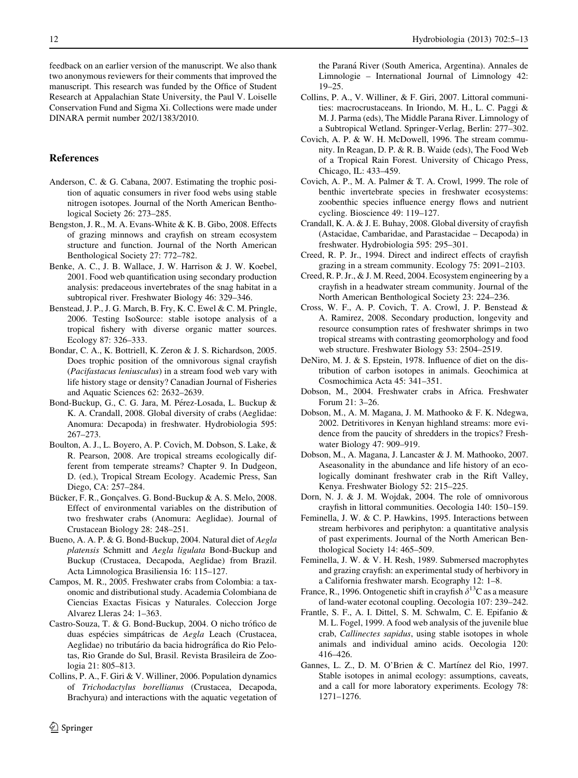<span id="page-7-0"></span>feedback on an earlier version of the manuscript. We also thank two anonymous reviewers for their comments that improved the manuscript. This research was funded by the Office of Student Research at Appalachian State University, the Paul V. Loiselle Conservation Fund and Sigma Xi. Collections were made under DINARA permit number 202/1383/2010.

## References

- Anderson, C. & G. Cabana, 2007. Estimating the trophic position of aquatic consumers in river food webs using stable nitrogen isotopes. Journal of the North American Benthological Society 26: 273–285.
- Bengston, J. R., M. A. Evans-White & K. B. Gibo, 2008. Effects of grazing minnows and crayfish on stream ecosystem structure and function. Journal of the North American Benthological Society 27: 772–782.
- Benke, A. C., J. B. Wallace, J. W. Harrison & J. W. Koebel, 2001. Food web quantification using secondary production analysis: predaceous invertebrates of the snag habitat in a subtropical river. Freshwater Biology 46: 329–346.
- Benstead, J. P., J. G. March, B. Fry, K. C. Ewel & C. M. Pringle, 2006. Testing IsoSource: stable isotope analysis of a tropical fishery with diverse organic matter sources. Ecology 87: 326–333.
- Bondar, C. A., K. Bottriell, K. Zeron & J. S. Richardson, 2005. Does trophic position of the omnivorous signal crayfish (Pacifastacus leniusculus) in a stream food web vary with life history stage or density? Canadian Journal of Fisheries and Aquatic Sciences 62: 2632–2639.
- Bond-Buckup, G., C. G. Jara, M. Pérez-Losada, L. Buckup & K. A. Crandall, 2008. Global diversity of crabs (Aeglidae: Anomura: Decapoda) in freshwater. Hydrobiologia 595: 267–273.
- Boulton, A. J., L. Boyero, A. P. Covich, M. Dobson, S. Lake, & R. Pearson, 2008. Are tropical streams ecologically different from temperate streams? Chapter 9. In Dudgeon, D. (ed.), Tropical Stream Ecology. Academic Press, San Diego, CA: 257–284.
- Bücker, F. R., Gonçalves. G. Bond-Buckup & A. S. Melo, 2008. Effect of environmental variables on the distribution of two freshwater crabs (Anomura: Aeglidae). Journal of Crustacean Biology 28: 248–251.
- Bueno, A. A. P. & G. Bond-Buckup, 2004. Natural diet of Aegla platensis Schmitt and Aegla ligulata Bond-Buckup and Buckup (Crustacea, Decapoda, Aeglidae) from Brazil. Acta Limnologica Brasiliensia 16: 115–127.
- Campos, M. R., 2005. Freshwater crabs from Colombia: a taxonomic and distributional study. Academia Colombiana de Ciencias Exactas Fisicas y Naturales. Coleccion Jorge Alvarez Lleras 24: 1–363.
- Castro-Souza, T. & G. Bond-Buckup, 2004. O nicho trófico de duas espécies simpátricas de Aegla Leach (Crustacea, Aeglidae) no tributário da bacia hidrográfica do Rio Pelotas, Rio Grande do Sul, Brasil. Revista Brasileira de Zoologia 21: 805–813.
- Collins, P. A., F. Giri & V. Williner, 2006. Population dynamics of Trichodactylus borellianus (Crustacea, Decapoda, Brachyura) and interactions with the aquatic vegetation of

the Paraná River (South America, Argentina). Annales de Limnologie – International Journal of Limnology 42: 19–25.

- Collins, P. A., V. Williner, & F. Giri, 2007. Littoral communities: macrocrustaceans. In Iriondo, M. H., L. C. Paggi & M. J. Parma (eds), The Middle Parana River. Limnology of a Subtropical Wetland. Springer-Verlag, Berlin: 277–302.
- Covich, A. P. & W. H. McDowell, 1996. The stream community. In Reagan, D. P. & R. B. Waide (eds), The Food Web of a Tropical Rain Forest. University of Chicago Press, Chicago, IL: 433–459.
- Covich, A. P., M. A. Palmer & T. A. Crowl, 1999. The role of benthic invertebrate species in freshwater ecosystems: zoobenthic species influence energy flows and nutrient cycling. Bioscience 49: 119–127.
- Crandall, K. A. & J. E. Buhay, 2008. Global diversity of crayfish (Astacidae, Cambaridae, and Parastacidae – Decapoda) in freshwater. Hydrobiologia 595: 295–301.
- Creed, R. P. Jr., 1994. Direct and indirect effects of crayfish grazing in a stream community. Ecology 75: 2091–2103.
- Creed, R. P. Jr., & J. M. Reed, 2004. Ecosystem engineering by a crayfish in a headwater stream community. Journal of the North American Benthological Society 23: 224–236.
- Cross, W. F., A. P. Covich, T. A. Crowl, J. P. Benstead & A. Ramirez, 2008. Secondary production, longevity and resource consumption rates of freshwater shrimps in two tropical streams with contrasting geomorphology and food web structure. Freshwater Biology 53: 2504–2519.
- DeNiro, M. J. & S. Epstein, 1978. Influence of diet on the distribution of carbon isotopes in animals. Geochimica at Cosmochimica Acta 45: 341–351.
- Dobson, M., 2004. Freshwater crabs in Africa. Freshwater Forum 21: 3–26.
- Dobson, M., A. M. Magana, J. M. Mathooko & F. K. Ndegwa, 2002. Detritivores in Kenyan highland streams: more evidence from the paucity of shredders in the tropics? Freshwater Biology 47: 909–919.
- Dobson, M., A. Magana, J. Lancaster & J. M. Mathooko, 2007. Aseasonality in the abundance and life history of an ecologically dominant freshwater crab in the Rift Valley, Kenya. Freshwater Biology 52: 215–225.
- Dorn, N. J. & J. M. Wojdak, 2004. The role of omnivorous crayfish in littoral communities. Oecologia 140: 150–159.
- Feminella, J. W. & C. P. Hawkins, 1995. Interactions between stream herbivores and periphyton: a quantitative analysis of past experiments. Journal of the North American Benthological Society 14: 465–509.
- Feminella, J. W. & V. H. Resh, 1989. Submersed macrophytes and grazing crayfish: an experimental study of herbivory in a California freshwater marsh. Ecography 12: 1–8.
- France, R., 1996. Ontogenetic shift in crayfish  $\delta^{13}$ C as a measure of land-water ecotonal coupling. Oecologia 107: 239–242.
- Frantle, S. F., A. I. Dittel, S. M. Schwalm, C. E. Epifanio & M. L. Fogel, 1999. A food web analysis of the juvenile blue crab, Callinectes sapidus, using stable isotopes in whole animals and individual amino acids. Oecologia 120: 416–426.
- Gannes, L. Z., D. M. O'Brien & C. Martínez del Rio, 1997. Stable isotopes in animal ecology: assumptions, caveats, and a call for more laboratory experiments. Ecology 78: 1271–1276.